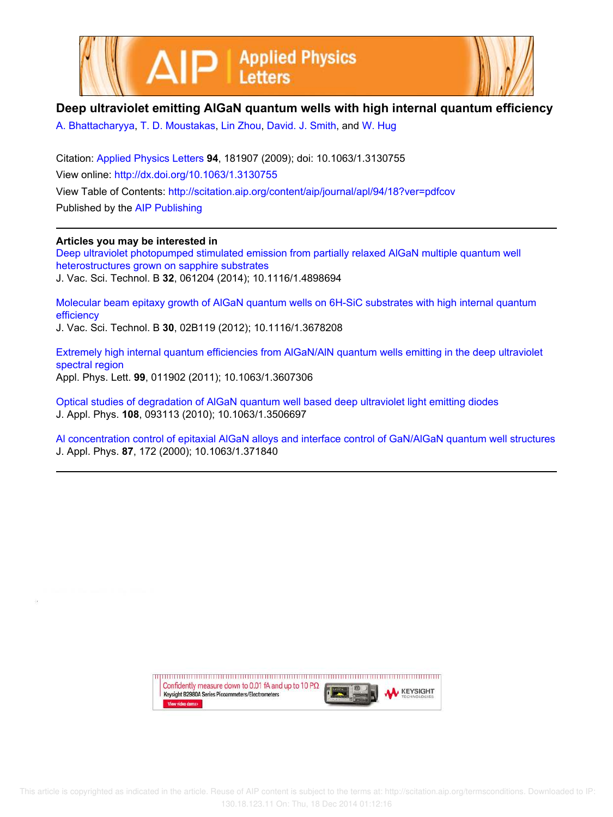



## **Deep ultraviolet emitting AlGaN quantum wells with high internal quantum efficiency**

A. Bhattacharyya, T. D. Moustakas, Lin Zhou, David. J. Smith, and W. Hug

Citation: Applied Physics Letters **94**, 181907 (2009); doi: 10.1063/1.3130755 View online: http://dx.doi.org/10.1063/1.3130755 View Table of Contents: http://scitation.aip.org/content/aip/journal/apl/94/18?ver=pdfcov Published by the AIP Publishing

**Articles you may be interested in**

Deep ultraviolet photopumped stimulated emission from partially relaxed AlGaN multiple quantum well heterostructures grown on sapphire substrates J. Vac. Sci. Technol. B **32**, 061204 (2014); 10.1116/1.4898694

Molecular beam epitaxy growth of AlGaN quantum wells on 6H-SiC substrates with high internal quantum efficiency

J. Vac. Sci. Technol. B **30**, 02B119 (2012); 10.1116/1.3678208

Extremely high internal quantum efficiencies from AlGaN/AlN quantum wells emitting in the deep ultraviolet spectral region Appl. Phys. Lett. **99**, 011902 (2011); 10.1063/1.3607306

Optical studies of degradation of AlGaN quantum well based deep ultraviolet light emitting diodes J. Appl. Phys. **108**, 093113 (2010); 10.1063/1.3506697

Al concentration control of epitaxial AlGaN alloys and interface control of GaN/AlGaN quantum well structures J. Appl. Phys. **87**, 172 (2000); 10.1063/1.371840

> Confidently measure down to 0.01 fA and up to 10 P $\Omega$ **KEYSIGHT** Keysight B2980A Series Picoammeters/Electrometers View video demo>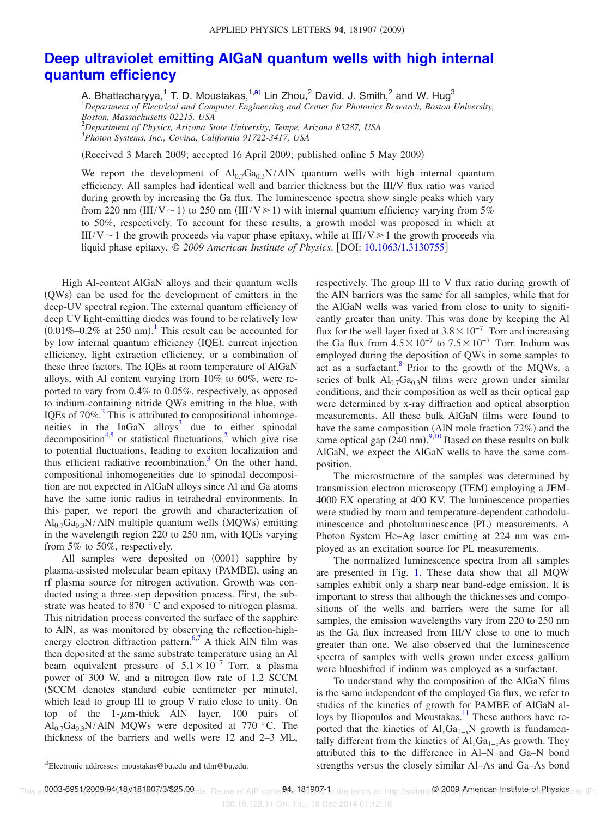## **Deep ultraviolet emitting AlGaN quantum wells with high internal quantum efficiency**

A. Bhattacharyya,<sup>1</sup> T. D. Moustakas,<sup>1,a)</sup> Lin Zhou,<sup>2</sup> David. J. Smith,<sup>2</sup> and W. Hug<sup>3</sup> <sup>1</sup>*Department of Electrical and Computer Engineering and Center for Photonics Research, Boston University, Boston, Massachusetts 02215, USA*

<sup>2</sup>*Department of Physics, Arizona State University, Tempe, Arizona 85287, USA* 3 *Photon Systems, Inc., Covina, California 91722-3417, USA*

(Received 3 March 2009; accepted 16 April 2009; published online 5 May 2009)

We report the development of  $Al_{0.7}Ga_{0.3}N/AlN$  quantum wells with high internal quantum efficiency. All samples had identical well and barrier thickness but the III/V flux ratio was varied during growth by increasing the Ga flux. The luminescence spectra show single peaks which vary from 220 nm (III/V ~ 1) to 250 nm (III/V  $\ge$  1) with internal quantum efficiency varying from 5% to 50%, respectively. To account for these results, a growth model was proposed in which at III/V ~ 1 the growth proceeds via vapor phase epitaxy, while at III/V  $\geq 1$  the growth proceeds via liquid phase epitaxy. © *2009 American Institute of Physics*. DOI: 10.1063/1.3130755

High Al-content AlGaN alloys and their quantum wells (QWs) can be used for the development of emitters in the deep-UV spectral region. The external quantum efficiency of deep UV light-emitting diodes was found to be relatively low  $(0.01\% - 0.2\%$  at 250 nm).<sup>1</sup> This result can be accounted for by low internal quantum efficiency (IQE), current injection efficiency, light extraction efficiency, or a combination of these three factors. The IQEs at room temperature of AlGaN alloys, with Al content varying from 10% to 60%, were reported to vary from 0.4% to 0.05%, respectively, as opposed to indium-containing nitride QWs emitting in the blue, with IQEs of 70%.<sup>2</sup> This is attributed to compositional inhomogeneities in the  $InGaN$  alloys<sup>3</sup> due to either spinodal decomposition<sup>4,5</sup> or statistical fluctuations,<sup>2</sup> which give rise to potential fluctuations, leading to exciton localization and thus efficient radiative recombination. $3$  On the other hand, compositional inhomogeneities due to spinodal decomposition are not expected in AlGaN alloys since Al and Ga atoms have the same ionic radius in tetrahedral environments. In this paper, we report the growth and characterization of  $Al_{0.7}Ga_{0.3}N/AlN$  multiple quantum wells (MQWs) emitting in the wavelength region 220 to 250 nm, with IQEs varying from 5% to 50%, respectively.

All samples were deposited on (0001) sapphire by plasma-assisted molecular beam epitaxy (PAMBE), using an rf plasma source for nitrogen activation. Growth was conducted using a three-step deposition process. First, the substrate was heated to 870 °C and exposed to nitrogen plasma. This nitridation process converted the surface of the sapphire to AlN, as was monitored by observing the reflection-highenergy electron diffraction pattern.<sup>6,7</sup> A thick AlN film was then deposited at the same substrate temperature using an Al beam equivalent pressure of  $5.1 \times 10^{-7}$  Torr, a plasma power of 300 W, and a nitrogen flow rate of 1.2 SCCM (SCCM denotes standard cubic centimeter per minute), which lead to group III to group V ratio close to unity. On top of the  $1-\mu m$ -thick AlN layer, 100 pairs of  $Al_{0.7}Ga_{0.3}N/AlN$  MQWs were deposited at 770 °C. The thickness of the barriers and wells were 12 and 2–3 ML,

respectively. The group III to V flux ratio during growth of the AlN barriers was the same for all samples, while that for the AlGaN wells was varied from close to unity to significantly greater than unity. This was done by keeping the Al flux for the well layer fixed at  $3.8 \times 10^{-7}$  Torr and increasing the Ga flux from  $4.5 \times 10^{-7}$  to  $7.5 \times 10^{-7}$  Torr. Indium was employed during the deposition of QWs in some samples to act as a surfactant.  $\frac{8}{5}$  Prior to the growth of the MQWs, a series of bulk  $Al_{0.7}Ga_{0.3}N$  films were grown under similar conditions, and their composition as well as their optical gap were determined by x-ray diffraction and optical absorption measurements. All these bulk AlGaN films were found to have the same composition (AlN mole fraction 72%) and the same optical gap  $(240 \text{ nm})$ .<sup>9,10</sup> Based on these results on bulk AlGaN, we expect the AlGaN wells to have the same composition.

The microstructure of the samples was determined by transmission electron microscopy (TEM) employing a JEM-4000 EX operating at 400 KV. The luminescence properties were studied by room and temperature-dependent cathodoluminescence and photoluminescence (PL) measurements. A Photon System He–Ag laser emitting at 224 nm was employed as an excitation source for PL measurements.

The normalized luminescence spectra from all samples are presented in Fig. 1. These data show that all MQW samples exhibit only a sharp near band-edge emission. It is important to stress that although the thicknesses and compositions of the wells and barriers were the same for all samples, the emission wavelengths vary from 220 to 250 nm as the Ga flux increased from III/V close to one to much greater than one. We also observed that the luminescence spectra of samples with wells grown under excess gallium were blueshifted if indium was employed as a surfactant.

To understand why the composition of the AlGaN films is the same independent of the employed Ga flux, we refer to studies of the kinetics of growth for PAMBE of AlGaN alloys by Iliopoulos and Moustakas.<sup>11</sup> These authors have reported that the kinetics of Al<sub>x</sub>Ga<sub>1−*x*</sub>N growth is fundamentally different from the kinetics of Al<sub>*x*</sub>Ga<sub>1−*x*</sub>As growth. They attributed this to the difference in Al–N and Ga–N bond strengths versus the closely similar Al–As and Ga–As bond

Electronic addresses: moustakas@bu.edu and tdm@bu.edu.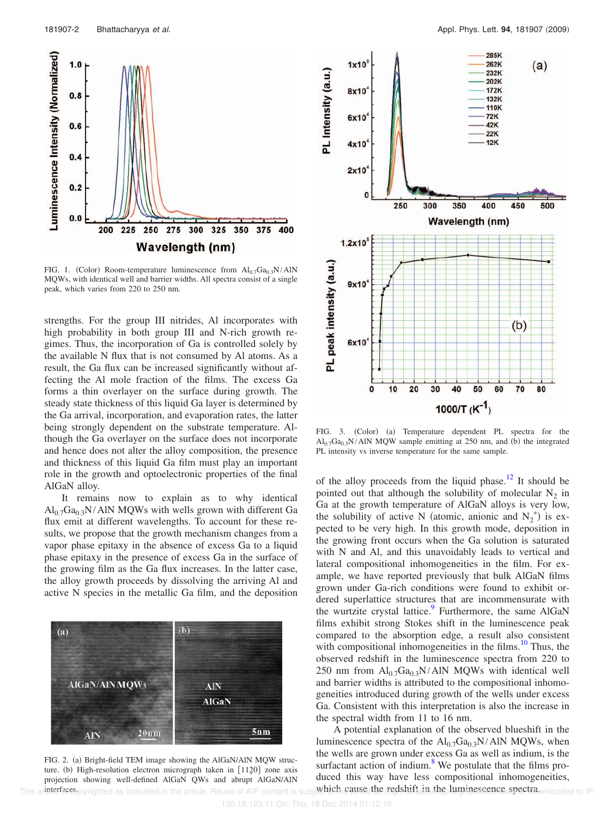

FIG. 1. (Color) Room-temperature luminescence from  $Al_{0.7}Ga_{0.3}N/AlN$ MQWs, with identical well and barrier widths. All spectra consist of a single peak, which varies from 220 to 250 nm.

strengths. For the group III nitrides, Al incorporates with high probability in both group III and N-rich growth regimes. Thus, the incorporation of Ga is controlled solely by the available N flux that is not consumed by Al atoms. As a result, the Ga flux can be increased significantly without affecting the Al mole fraction of the films. The excess Ga forms a thin overlayer on the surface during growth. The steady state thickness of this liquid Ga layer is determined by the Ga arrival, incorporation, and evaporation rates, the latter being strongly dependent on the substrate temperature. Although the Ga overlayer on the surface does not incorporate and hence does not alter the alloy composition, the presence and thickness of this liquid Ga film must play an important role in the growth and optoelectronic properties of the final AlGaN alloy.

It remains now to explain as to why identical  $Al_{0.7}Ga_{0.3}N/AlN$  MQWs with wells grown with different Ga flux emit at different wavelengths. To account for these results, we propose that the growth mechanism changes from a vapor phase epitaxy in the absence of excess Ga to a liquid phase epitaxy in the presence of excess Ga in the surface of the growing film as the Ga flux increases. In the latter case, the alloy growth proceeds by dissolving the arriving Al and active N species in the metallic Ga film, and the deposition



FIG. 2. (a) Bright-field TEM image showing the AlGaN/AlN MQW structure. (b) High-resolution electron micrograph taken in [1120] zone axis<br>projection showing well-defined AIGaN OWs and abrunt AIGaN/AIN projection showing well-defined AlGaN QWs and abrupt AlGaN/AlN This article is perfaces pyrighted as indicated in the article. Reuse of AIP content is subject the secure the redshift in the luminescence spectra wnloaded to IP:



FIG. 3. (Color) (a) Temperature dependent PL spectra for the  $\text{Al}_{0.7}\text{Ga}_{0.3}\text{N}/\text{AlN}$  MQW sample emitting at 250 nm, and (b) the integrated PL intensity vs inverse temperature for the same sample.

of the alloy proceeds from the liquid phase.<sup>12</sup> It should be pointed out that although the solubility of molecular  $N_2$  in Ga at the growth temperature of AlGaN alloys is very low, the solubility of active N (atomic, anionic and  $N_2^*$ ) is expected to be very high. In this growth mode, deposition in the growing front occurs when the Ga solution is saturated with N and Al, and this unavoidably leads to vertical and lateral compositional inhomogeneities in the film. For example, we have reported previously that bulk AlGaN films grown under Ga-rich conditions were found to exhibit ordered superlattice structures that are incommensurate with the wurtzite crystal lattice.<sup>9</sup> Furthermore, the same AlGaN films exhibit strong Stokes shift in the luminescence peak compared to the absorption edge, a result also consistent with compositional inhomogeneities in the films. $10^{\circ}$  Thus, the observed redshift in the luminescence spectra from 220 to 250 nm from  $Al_{0.7}Ga_{0.3}N/AlN$  MQWs with identical well and barrier widths is attributed to the compositional inhomogeneities introduced during growth of the wells under excess Ga. Consistent with this interpretation is also the increase in the spectral width from 11 to 16 nm.

A potential explanation of the observed blueshift in the luminescence spectra of the  $Al_{0.7}Ga_{0.3}N/AlN$  MQWs, when the wells are grown under excess Ga as well as indium, is the surfactant action of indium. $\delta$  We postulate that the films produced this way have less compositional inhomogeneities, which cause the redshift in the luminescence spectra which cause to IP: